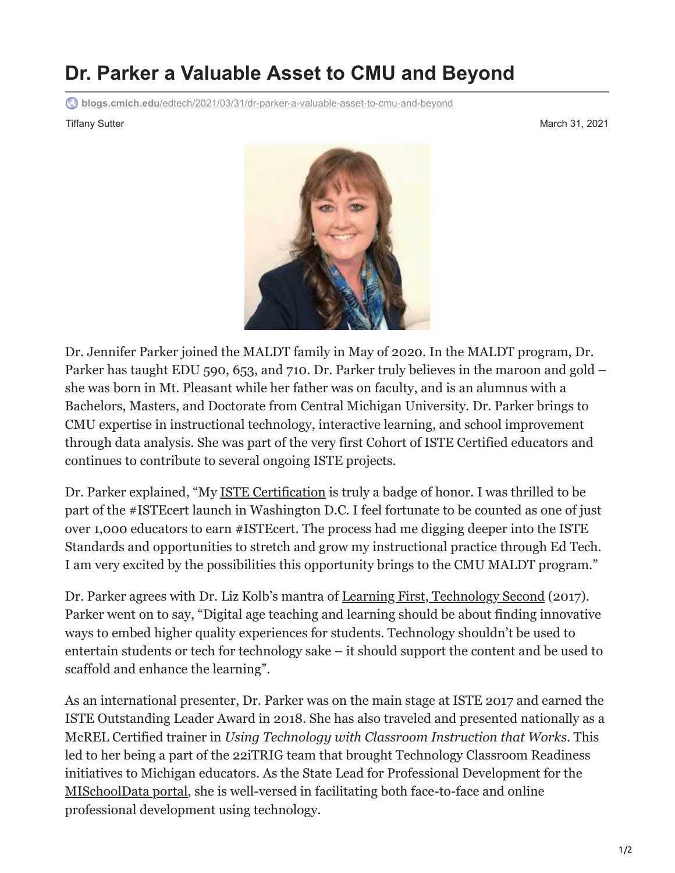## **Dr. Parker a Valuable Asset to CMU and Beyond**

**blogs.cmich.edu**[/edtech/2021/03/31/dr-parker-a-valuable-asset-to-cmu-and-beyond](https://blogs.cmich.edu/edtech/2021/03/31/dr-parker-a-valuable-asset-to-cmu-and-beyond/)

Tiffany Sutter March 31, 2021



Dr. Jennifer Parker joined the MALDT family in May of 2020. In the MALDT program, Dr. Parker has taught EDU 590, 653, and 710. Dr. Parker truly believes in the maroon and gold – she was born in Mt. Pleasant while her father was on faculty, and is an alumnus with a Bachelors, Masters, and Doctorate from Central Michigan University. Dr. Parker brings to CMU expertise in instructional technology, interactive learning, and school improvement through data analysis. She was part of the very first Cohort of ISTE Certified educators and continues to contribute to several ongoing ISTE projects.

Dr. Parker explained, "My [ISTE Certification](https://www.iste.org/learn/iste-certification) is truly a badge of honor. I was thrilled to be part of the #ISTEcert launch in Washington D.C. I feel fortunate to be counted as one of just over 1,000 educators to earn #ISTEcert. The process had me digging deeper into the ISTE Standards and opportunities to stretch and grow my instructional practice through Ed Tech. I am very excited by the possibilities this opportunity brings to the CMU MALDT program."

Dr. Parker agrees with Dr. Liz Kolb's mantra of [Learning First, Technology Second](https://www.tripleeframework.com/) (2017). Parker went on to say, "Digital age teaching and learning should be about finding innovative ways to embed higher quality experiences for students. Technology shouldn't be used to entertain students or tech for technology sake – it should support the content and be used to scaffold and enhance the learning".

As an international presenter, Dr. Parker was on the main stage at ISTE 2017 and earned the ISTE Outstanding Leader Award in 2018. She has also traveled and presented nationally as a McREL Certified trainer in *Using Technology with Classroom Instruction that Works*. This led to her being a part of the 22iTRIG team that brought Technology Classroom Readiness initiatives to Michigan educators. As the State Lead for Professional Development for the [MISchoolData portal](https://mischooldata.org/), she is well-versed in facilitating both face-to-face and online professional development using technology.